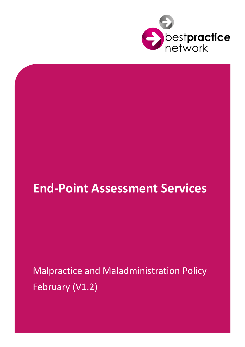

## **End-Point Assessment Services**

# Malpractice and Maladministration Policy February (V1.2)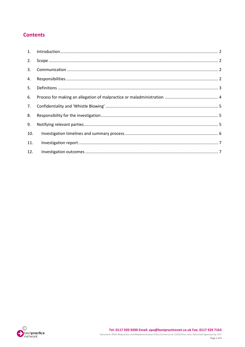#### **Contents**

| 2.  |  |
|-----|--|
| 3.  |  |
| 4.  |  |
| 5.  |  |
| 6.  |  |
| 7.  |  |
| 8.  |  |
| 9.  |  |
| 10. |  |
| 11. |  |
| 12. |  |

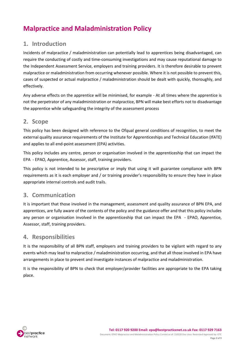## **Malpractice and Maladministration Policy**

#### <span id="page-2-0"></span>**1. Introduction**

Incidents of malpractice / maladministration can potentially lead to apprentices being disadvantaged, can require the conducting of costly and time-consuming investigations and may cause reputational damage to the Independent Assessment Service, employers and training providers. It is therefore desirable to prevent malpractice or maladministration from occurring whenever possible. Where it is not possible to prevent this, cases of suspected or actual malpractice / maladministration should be dealt with quickly, thoroughly, and effectively.

Any adverse effects on the apprentice will be minimised, for example - At all times where the apprentice is not the perpetrator of any maladministration or malpractice, BPN will make best efforts not to disadvantage the apprentice while safeguarding the integrity of the assessment process

#### <span id="page-2-1"></span>**2. Scope**

This policy has been designed with reference to the Ofqual general conditions of recognition, to meet the external quality assurance requirements of the Institute for Apprenticeships and Technical Education (IfATE) and applies to all end-point assessment (EPA) activities.

This policy includes any centre, person or organisation involved in the apprenticeship that can impact the EPA - EPAO, Apprentice, Assessor, staff, training providers.

This policy is not intended to be prescriptive or imply that using it will guarantee compliance with BPN requirements as it is each employer and / or training provider's responsibility to ensure they have in place appropriate internal controls and audit trails.

#### <span id="page-2-2"></span>**3. Communication**

It is important that those involved in the management, assessment and quality assurance of BPN EPA, and apprentices, are fully aware of the contents of the policy and the guidance offer and that this policy includes any person or organisation involved in the apprenticeship that can impact the EPA - EPAO, Apprentice, Assessor, staff, training providers.

#### <span id="page-2-3"></span>**4. Responsibilities**

It is the responsibility of all BPN staff, employers and training providers to be vigilant with regard to any events which may lead to malpractice / maladministration occurring, and that all those involved in EPA have arrangements in place to prevent and investigate instances of malpractice and maladministration.

<span id="page-2-4"></span>It is the responsibility of BPN to check that employer/provider facilities are appropriate to the EPA taking place.

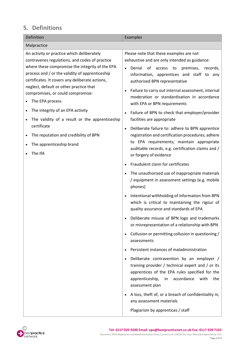## **5. Definitions**

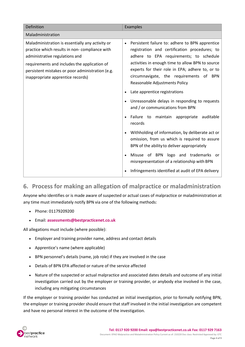| Definition                                                                                                                                                                                                                                                                   | Examples                                                                                                                                                                                                                                                                                                                                    |  |
|------------------------------------------------------------------------------------------------------------------------------------------------------------------------------------------------------------------------------------------------------------------------------|---------------------------------------------------------------------------------------------------------------------------------------------------------------------------------------------------------------------------------------------------------------------------------------------------------------------------------------------|--|
| Maladministration                                                                                                                                                                                                                                                            |                                                                                                                                                                                                                                                                                                                                             |  |
| Maladministration is essentially any activity or<br>practice which results in non-compliance with<br>administrative regulations and<br>requirements and includes the application of<br>persistent mistakes or poor administration (e.g.<br>inappropriate apprentice records) | Persistent failure to: adhere to BPN apprentice<br>$\bullet$<br>registration and certification procedures; to<br>adhere to EPA requirements; to schedule<br>activities in enough time to allow BPN to source<br>experts for their role in EPA; adhere to, or to<br>circumnavigate, the requirements of BPN<br>Reasonable Adjustments Policy |  |
|                                                                                                                                                                                                                                                                              | Late apprentice registrations<br>$\bullet$                                                                                                                                                                                                                                                                                                  |  |
|                                                                                                                                                                                                                                                                              | Unreasonable delays in responding to requests<br>$\bullet$<br>and / or communications from BPN                                                                                                                                                                                                                                              |  |
|                                                                                                                                                                                                                                                                              | Failure to maintain appropriate<br>auditable<br>records                                                                                                                                                                                                                                                                                     |  |
|                                                                                                                                                                                                                                                                              | Withholding of information, by deliberate act or<br>omission, from us which is required to assure<br>BPN of the ability to deliver appropriately                                                                                                                                                                                            |  |
|                                                                                                                                                                                                                                                                              | Misuse of BPN logo and trademarks or<br>misrepresentation of a relationship with BPN                                                                                                                                                                                                                                                        |  |
|                                                                                                                                                                                                                                                                              | Infringements identified at audit of EPA delivery                                                                                                                                                                                                                                                                                           |  |

#### <span id="page-4-0"></span>**6. Process for making an allegation of malpractice or maladministration**

Anyone who identifies or is made aware of suspected or actual cases of malpractice or maladministration at any time must immediately notify BPN via one of the following methods:

- Phone: 01179209200
- Email: **[assessments@bestpracticenet.co.uk](mailto:assessments@bestpracticenet.co.uk)**

All allegations must include (where possible):

- Employer and training provider name, address and contact details
- Apprentice's name (where applicable)
- BPN personnel's details (name, job role) if they are involved in the case
- Details of BPN EPA affected or nature of the service affected
- Nature of the suspected or actual malpractice and associated dates details and outcome of any initial investigation carried out by the employer or training provider, or anybody else involved in the case, including any mitigating circumstances

If the employer or training provider has conducted an initial investigation, prior to formally notifying BPN, the employer or training provider should ensure that staff involved in the initial investigation are competent and have no personal interest in the outcome of the investigation.

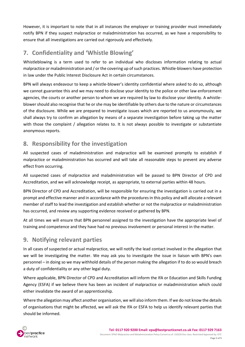However, it is important to note that in all instances the employer or training provider must immediately notify BPN if they suspect malpractice or maladministration has occurred, as we have a responsibility to ensure that all investigations are carried out rigorously and effectively.

## <span id="page-5-0"></span>**7. Confidentiality and 'Whistle Blowing'**

Whistleblowing is a term used to refer to an individual who discloses information relating to actual malpractice or maladministration and / or the covering up of such practices. Whistle-blowers have protection in law under the Public Interest Disclosure Act in certain circumstances.

BPN will always endeavour to keep a whistle-blower's identity confidential where asked to do so, although we cannot guarantee this and we may need to disclose your identity to the police or other law enforcement agencies, the courts or another person to whom we are required by law to disclose your identity. A whistleblower should also recognise that he or she may be identifiable by others due to the nature or circumstances of the disclosure. While we are prepared to investigate issues which are reported to us anonymously, we shall always try to confirm an allegation by means of a separate investigation before taking up the matter with those the complaint / allegation relates to. It is not always possible to investigate or substantiate anonymous reports.

## <span id="page-5-1"></span>**8. Responsibility for the investigation**

All suspected cases of maladministration and malpractice will be examined promptly to establish if malpractice or maladministration has occurred and will take all reasonable steps to prevent any adverse effect from occurring.

All suspected cases of malpractice and maladministration will be passed to BPN Director of CPD and Accreditation, and we will acknowledge receipt, as appropriate, to external parties within 48 hours.

BPN Director of CPD and Accreditation, will be responsible for ensuring the investigation is carried out in a prompt and effective manner and in accordance with the procedures in this policy and will allocate a relevant member of staff to lead the investigation and establish whether or not the malpractice or maladministration has occurred, and review any supporting evidence received or gathered by BPN.

At all times we will ensure that BPN personnel assigned to the investigation have the appropriate level of training and competence and they have had no previous involvement or personal interest in the matter.

## <span id="page-5-2"></span>**9. Notifying relevant parties**

In all cases of suspected or actual malpractice, we will notify the lead contact involved in the allegation that we will be investigating the matter. We may ask you to investigate the issue in liaison with BPN's own personnel – in doing so we may withhold details of the person making the allegation if to do so would breach a duty of confidentiality or any other legal duty.

Where applicable, BPN Director of CPD and Accreditation will inform the IfA or Education and Skills Funding Agency (ESFA) if we believe there has been an incident of malpractice or maladministration which could either invalidate the award of an apprenticeship.

Where the allegation may affect another organisation, we will also inform them. If we do not know the details of organisations that might be affected, we will ask the IfA or ESFA to help us identify relevant parties that should be informed.

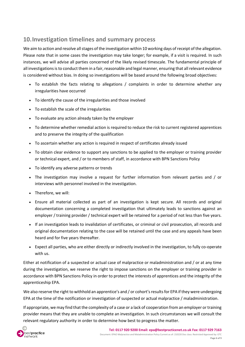## <span id="page-6-0"></span>**10.Investigation timelines and summary process**

We aim to action and resolve all stages of the investigation within 10 working days of receipt of the allegation. Please note that in some cases the investigation may take longer; for example, if a visit is required. In such instances, we will advise all parties concerned of the likely revised timescale. The fundamental principle of all investigations is to conduct them in a fair, reasonable and legal manner, ensuring that all relevant evidence is considered without bias. In doing so investigations will be based around the following broad objectives:

- To establish the facts relating to allegations / complaints in order to determine whether any irregularities have occurred
- To identify the cause of the irregularities and those involved
- To establish the scale of the irregularities
- To evaluate any action already taken by the employer
- To determine whether remedial action is required to reduce the risk to current registered apprentices and to preserve the integrity of the qualification
- To ascertain whether any action is required in respect of certificates already issued
- To obtain clear evidence to support any sanctions to be applied to the employer or training provider or technical expert, and / or to members of staff, in accordance with BPN Sanctions Policy
- To identify any adverse patterns or trends
- The investigation may involve a request for further information from relevant parties and / or interviews with personnel involved in the investigation.
- Therefore, we will:
- Ensure all material collected as part of an investigation is kept secure. All records and original documentation concerning a completed investigation that ultimately leads to sanctions against an employer / training provider / technical expert will be retained for a period of not less than five years.
- If an investigation leads to invalidation of certificates, or criminal or civil prosecution, all records and original documentation relating to the case will be retained until the case and any appeals have been heard and for five years thereafter.
- Expect all parties, who are either directly or indirectly involved in the investigation, to fully co-operate with us.

Either at notification of a suspected or actual case of malpractice or maladministration and / or at any time during the investigation, we reserve the right to impose sanctions on the employer or training provider in accordance with BPN Sanctions Policy in order to protect the interests of apprentices and the integrity of the apprenticeship EPA.

We also reserve the right to withhold an apprentice's and / or cohort's results for EPA if they were undergoing EPA at the time of the notification or investigation of suspected or actual malpractice / maladministration.

If appropriate, we may find that the complexity of a case or a lack of cooperation from an employer or training provider means that they are unable to complete an investigation. In such circumstances we will consult the relevant regulatory authority in order to determine how best to progress the matter.

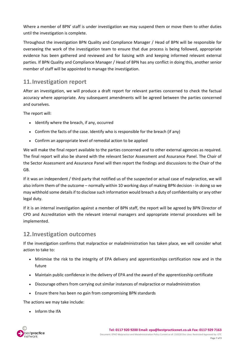Where a member of BPN' staff is under investigation we may suspend them or move them to other duties until the investigation is complete.

Throughout the investigation BPN Quality and Compliance Manager / Head of BPN will be responsible for overseeing the work of the investigation team to ensure that due process is being followed, appropriate evidence has been gathered and reviewed and for liaising with and keeping informed relevant external parties. If BPN Quality and Compliance Manager / Head of BPN has any conflict in doing this, another senior member of staff will be appointed to manage the investigation.

## <span id="page-7-0"></span>**11.Investigation report**

After an investigation, we will produce a draft report for relevant parties concerned to check the factual accuracy where appropriate. Any subsequent amendments will be agreed between the parties concerned and ourselves.

The report will:

- Identify where the breach, if any, occurred
- Confirm the facts of the case. Identify who is responsible for the breach (if any)
- Confirm an appropriate level of remedial action to be applied

We will make the final report available to the parties concerned and to other external agencies as required. The final report will also be shared with the relevant Sector Assessment and Assurance Panel. The Chair of the Sector Assessment and Assurance Panel will then report the findings and discussions to the Chair of the GB.

If it was an independent / third party that notified us of the suspected or actual case of malpractice, we will also inform them of the outcome – normally within 10 working days of making BPN decision - in doing so we may withhold some details if to disclose such information would breach a duty of confidentiality or any other legal duty.

If it is an internal investigation against a member of BPN staff, the report will be agreed by BPN Director of CPD and Accreditation with the relevant internal managers and appropriate internal procedures will be implemented.

#### <span id="page-7-1"></span>**12.Investigation outcomes**

If the investigation confirms that malpractice or maladministration has taken place, we will consider what action to take to:

- Minimise the risk to the integrity of EPA delivery and apprenticeships certification now and in the future
- Maintain public confidence in the delivery of EPA and the award of the apprenticeship certificate
- Discourage others from carrying out similar instances of malpractice or maladministration
- Ensure there has been no gain from compromising BPN standards

The actions we may take include:

• Inform the IfA